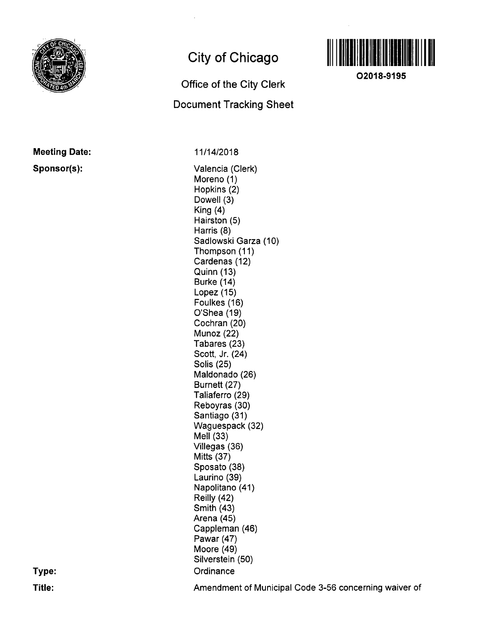

# City of Chicago

## Office of the City Clerk

## Document Tracking Sheet



11/14/2018

Valencia (Clerk) Moreno (1) Hopkins (2) Dowell (3) King (4) Hairston (5) Harris (8) Sadlowski Garza (10) Thompson (11) Cardenas (12) Quinn (13) Burke (14) Lopez (15) Foulkes (16) 0'Shea(19) Cochran (20) Munoz (22) Tabares (23) Scott, Jr. (24) Solis (25) Maldonado (26) Burnett (27) Taliaferro (29) Reboyras (30) Santiago (31) Waguespack (32)  $Mell (33)$ Villegas (36) Mitts (37) Sposato (38) Laurino (39) Napolitano (41) Reilly (42) Smith (43) Arena (45) Cappleman (46) Pawar (47) Moore (49) Silverstein (50) **Ordinance** 



02018-9195

Amendment of Municipal Code 3-56 concerning waiver of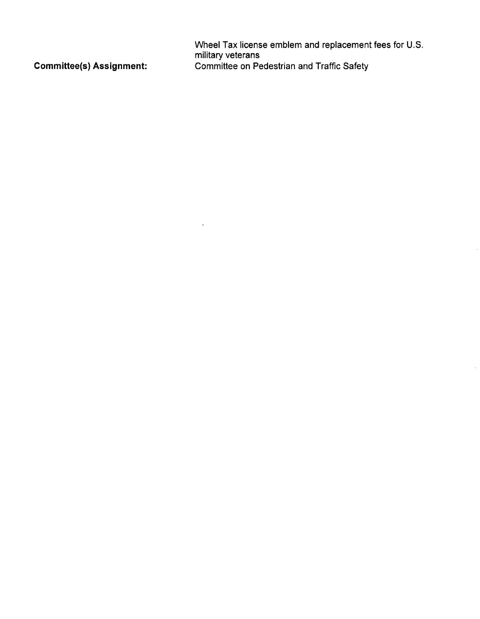Wheel Tax license emblem and replacement fees for U.S. military veterans Committee(s) Assignment: Committee on Pedestrian and Traffic Safety

 $\mathcal{A}^{\mathcal{A}}$  and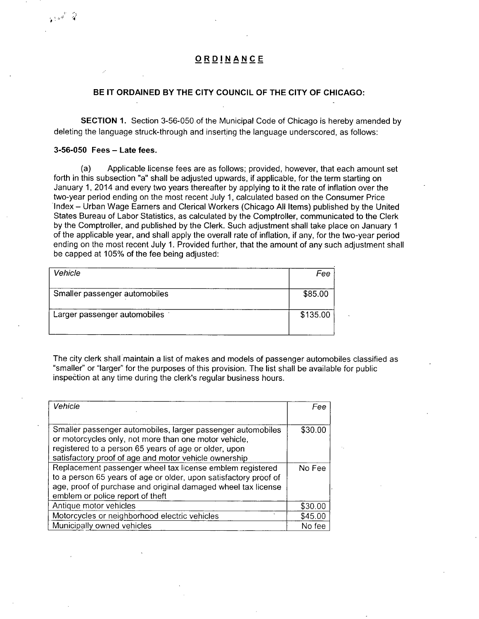## ORDINANCE

### **BE IT ORDAINED BY THE CITY COUNCIL OF THE CITY OF CHICAGO:**

SECTION 1. Section 3-56-050 of the Municipal Code of Chicago is hereby amended by deleting the language struck-through and inserting the language underscored, as follows:

### 3-56-050 Fees - Late fees.

أفاعليها

(a) Applicable license fees are as follows; provided, however, that each amount set forth in this subsection "a" shall be adjusted upwards, if applicable, for the term starting on January 1, 2014 and every two years thereafter by applying to it the rate of inflation over the two-year period ending on the most recent July 1, calculated based on the Consumer Price Index - Urban Wage Earners and Clerical Workers (Chicago All Items) published by the United States Bureau of Labor Statistics, as calculated by the Comptroller, communicated to the Clerk by the Comptroller, and published by the Clerk. Such adjustment shall take place on January 1 of the applicable year, and shall apply the overall rate of inflation, if any, for the two-year period ending on the most recent July 1. Provided further, that the amount of any such adjustment shall be capped at 105% of the fee being adjusted:

| Vehicle                       | Fee      |
|-------------------------------|----------|
| Smaller passenger automobiles | \$85.00  |
| Larger passenger automobiles  | \$135.00 |

The city clerk shall maintain a list of makes and models of passenger automobiles classified as "smaller" or "larger" for the purposes of this provision. The list shall be available for public inspection at any time during the clerk's regular business hours.

| Vehicle                                                                                                                                                                                                                                | Fee     |
|----------------------------------------------------------------------------------------------------------------------------------------------------------------------------------------------------------------------------------------|---------|
| Smaller passenger automobiles, larger passenger automobiles<br>or motorcycles only, not more than one motor vehicle,<br>registered to a person 65 years of age or older, upon<br>satisfactory proof of age and motor vehicle ownership | \$30.00 |
| Replacement passenger wheel tax license emblem registered<br>to a person 65 years of age or older, upon satisfactory proof of<br>age, proof of purchase and original damaged wheel tax license<br>emblem or police report of theft     | No Fee  |
| Antique motor vehicles                                                                                                                                                                                                                 | \$30.00 |
| Motorcycles or neighborhood electric vehicles                                                                                                                                                                                          | \$45.00 |
| Municipally owned vehicles                                                                                                                                                                                                             | No fee  |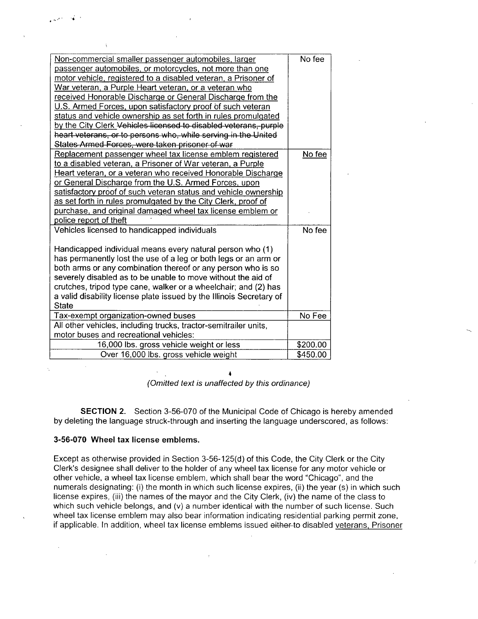| Non-commercial smaller passenger automobiles, larger                 | No fee   |
|----------------------------------------------------------------------|----------|
| passenger automobiles, or motorcycles, not more than one             |          |
| motor vehicle, registered to a disabled veteran, a Prisoner of       |          |
| War veteran, a Purple Heart veteran, or a veteran who                |          |
| received Honorable Discharge or General Discharge from the           |          |
| U.S. Armed Forces, upon satisfactory proof of such veteran           |          |
| status and vehicle ownership as set forth in rules promulgated       |          |
| by the City Clerk Vehicles licensed to disabled veterans, purple     |          |
| heart veterans, or to persons who, while serving in the United       |          |
| States Armed Forces, were taken prisoner of war                      |          |
| Replacement passenger wheel tax license emblem registered            | No fee   |
| to a disabled veteran, a Prisoner of War veteran, a Purple           |          |
| Heart veteran, or a veteran who received Honorable Discharge         |          |
| or General Discharge from the U.S. Armed Forces, upon                |          |
| satisfactory proof of such veteran status and vehicle ownership      |          |
| as set forth in rules promulgated by the City Clerk, proof of        |          |
| purchase, and original damaged wheel tax license emblem or           |          |
| police report of theft                                               |          |
| Vehicles licensed to handicapped individuals                         | No fee   |
|                                                                      |          |
| Handicapped individual means every natural person who (1)            |          |
| has permanently lost the use of a leg or both legs or an arm or      |          |
| both arms or any combination thereof or any person who is so         |          |
| severely disabled as to be unable to move without the aid of         |          |
| crutches, tripod type cane, walker or a wheelchair; and (2) has      |          |
| a valid disability license plate issued by the Illinois Secretary of |          |
| State                                                                |          |
| Tax-exempt organization-owned buses                                  | No Fee   |
| All other vehicles, including trucks, tractor-semitrailer units,     |          |
| motor buses and recreational vehicles:                               |          |
| 16,000 lbs. gross vehicle weight or less                             | \$200.00 |
| Over 16,000 lbs. gross vehicle weight                                | \$450.00 |

(Omitted text is unaffected by this ordinance)

SECTION 2. Section 3-56-070 of the Municipal Code of Chicago is hereby amended by deleting the language struck-through and inserting the language underscored, as follows:

### **3-56-070 Wheel tax license emblems.**

Except as otherwise provided in Section 3-56-125(d) of this Code, the City Clerk or the City Clerk's designee shall deliver to the holder of any wheel tax license for any motor vehicle or other vehicle, a wheel tax license emblem, which shall bear the word "Chicago", and the numerals designating: (i) the month in which such license expires, (ii) the year (s) in which such license expires, (iii) the names of the mayor and the City Clerk, (iv) the name of the class to which such vehicle belongs, and (v) a number identical with the number of such license. Such wheel tax license emblem may also bear information indicating residential parking permit zone, if applicable. In addition, wheel tax license emblems issued either to disabled veterans. Prisoner